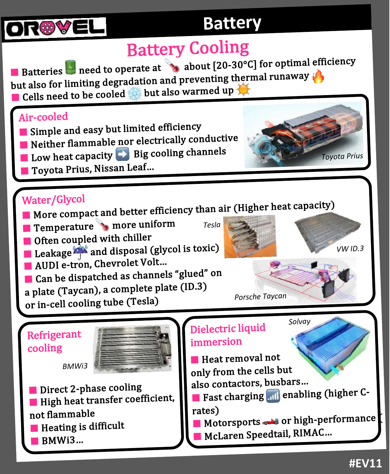

### **Battery**

# **Battery Cooling**

**E** Batteries **o** need to operate at **A** about  $[20-30^{\circ}\text{C}]$  for optimal efficiency Batteries **o** need to operate at  $\frac{1}{2}$  docav<sub>t</sub>  $\frac{1}{2}$  hermal runaway  $\left(\frac{1}{2}\right)$  $\blacksquare$  Cells need to be cooled  $\blacksquare$  but also warmed up

#### Air-cooled

- $\blacksquare$  Simple and easy but limited efficiency
- $\blacksquare$  Bin-Figure flammable nor electrically conductive
- $\blacksquare$  Notation Low heat capacity  $\blacksquare$  Big cooling channels
- Toyota Prius, Nissan Leaf...

#### Water/Glycol

- **Notef**  $\overline{B}$  More compact and better efficiency than air (Higher heat capacity)
- Temperature <sup>→</sup> more uniform
- $\blacksquare$  Often coupled with chiller
- $\blacksquare$  Leakage  $\blacksquare$  and disposal (glycol is toxic)
- **Reading AUDI** e-tron, Chevrolet Volt...
- $\blacksquare$  Can be dispatched as channels "glued" on
- a plate (Taycan), a complete plate (ID.3)
- or in-cell cooling tube (Tesla)

Refrigerant cooling



 $\blacksquare$  Direct 2-phase cooling  $\blacksquare$  High heat transfer coefficient, not flammable  $\blacksquare$  Heating is difficult

*BMWi3*

 $\blacksquare$  BMWi3…



*Porsche Taycan*

### Dielectric liquid immersion

*Tesla*

 $\blacksquare$  Heat removal not only from the cells but

also contactors, busbars...

- $\blacksquare$  Fast charging  $\blacksquare$  enabling (higher Crates)
- $\blacksquare$  Motorsports  $\clubsuit$  or high-performance

*Solvay*

 $\blacksquare$  McLaren Speedtail, RIMAC…

*VW ID.3*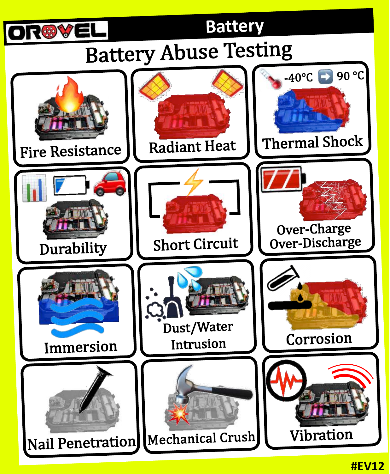

# **Battery** Battery Abuse Testing